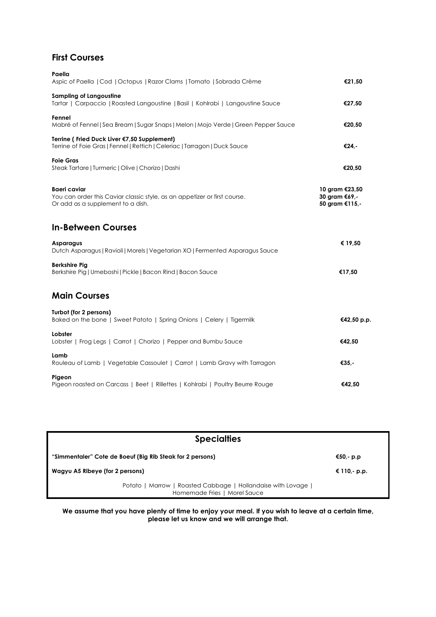## **First Courses**

| Paella<br>Aspic of Paella   Cod   Octopus   Razor Clams   Tomato   Sobrada Crème                                               | €21,50                                            |
|--------------------------------------------------------------------------------------------------------------------------------|---------------------------------------------------|
| <b>Sampling of Langoustine</b><br>Tartar   Carpaccio   Roasted Langoustine   Basil   Kohlrabi   Langoustine Sauce              | €27,50                                            |
| Fennel<br>Mabré of Fennel   Sea Bream   Sugar Snaps   Melon   Mojo Verde   Green Pepper Sauce                                  | €20,50                                            |
| Terrine (Fried Duck Liver €7,50 Supplement)<br>Terrine of Foie Gras   Fennel   Rettich   Celeriac   Tarragon   Duck Sauce      | €24,-                                             |
| <b>Foie Gras</b><br>Steak Tartare   Turmeric   Olive   Chorizo   Dashi                                                         | €20,50                                            |
| Baeri caviar<br>You can order this Caviar classic style, as an appetizer or first course.<br>Or add as a supplement to a dish. | 10 gram €23,50<br>30 gram €69,-<br>50 gram €115,- |
| <b>In-Between Courses</b>                                                                                                      |                                                   |
| Asparagus<br>Dutch Asparagus   Ravioli   Morels   Vegetarian XO   Fermented Asparagus Sauce                                    | € 19,50                                           |
| <b>Berkshire Pig</b><br>Berkshire Pig   Umeboshi   Pickle   Bacon Rind   Bacon Sauce                                           | €17,50                                            |
| <b>Main Courses</b>                                                                                                            |                                                   |
| Turbot (for 2 persons)<br>Baked on the bone   Sweet Patoto   Spring Onions   Celery   Tigermilk                                | €42,50 p.p.                                       |
| Lobster<br>Lobster   Frog Legs   Carrot   Chorizo   Pepper and Bumbu Sauce                                                     | €42,50                                            |
| Lamb<br>Rouleau of Lamb   Vegetable Cassoulet   Carrot   Lamb Gravy with Tarragon                                              | €35.                                              |
| Pigeon<br>Pigeon roasted on Carcass   Beet   Rillettes   Kohlrabi   Poultry Beurre Rouge                                       | €42,50                                            |

| <b>Specialties</b>                                                                            |              |  |  |
|-----------------------------------------------------------------------------------------------|--------------|--|--|
| "Simmentaler" Cote de Boeuf (Big Rib Steak for 2 persons)                                     | €50,- p.p    |  |  |
| Wagyu A5 Ribeye (for 2 persons)                                                               | € 110,- p.p. |  |  |
| Potato   Marrow   Roasted Cabbage   Hollandaise with Lovage  <br>Homemade Fries   Morel Sauce |              |  |  |

**We assume that you have plenty of time to enjoy your meal. If you wish to leave at a certain time, please let us know and we will arrange that.**